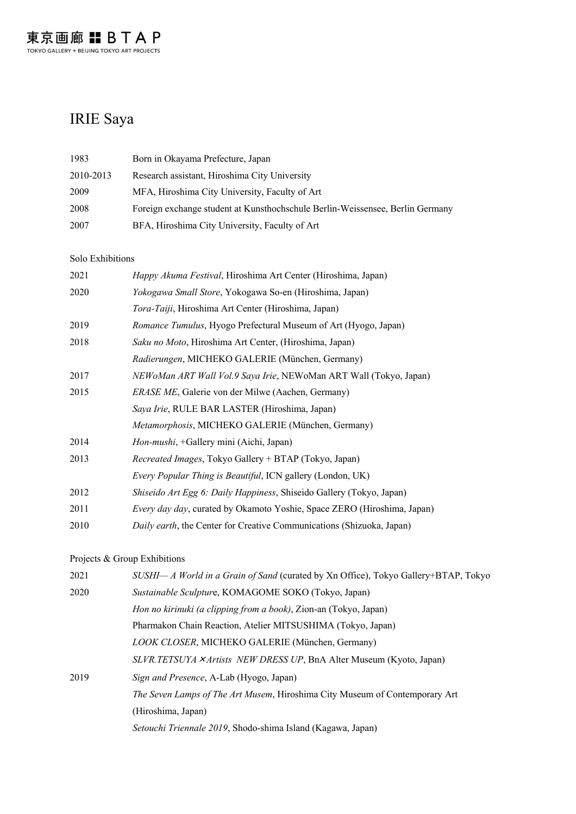## IRIE Saya

| 1983      | Born in Okayama Prefecture, Japan                                             |
|-----------|-------------------------------------------------------------------------------|
| 2010-2013 | Research assistant, Hiroshima City University                                 |
| 2009      | MFA, Hiroshima City University, Faculty of Art                                |
| 2008      | Foreign exchange student at Kunsthochschule Berlin-Weissensee, Berlin Germany |
| 2007      | BFA, Hiroshima City University, Faculty of Art                                |

#### Solo Exhibitions

| 2021 | Happy Akuma Festival, Hiroshima Art Center (Hiroshima, Japan)           |
|------|-------------------------------------------------------------------------|
| 2020 | Yokogawa Small Store, Yokogawa So-en (Hiroshima, Japan)                 |
|      | Tora-Taiji, Hiroshima Art Center (Hiroshima, Japan)                     |
| 2019 | Romance Tumulus, Hyogo Prefectural Museum of Art (Hyogo, Japan)         |
| 2018 | Saku no Moto, Hiroshima Art Center, (Hiroshima, Japan)                  |
|      | Radierungen, MICHEKO GALERIE (München, Germany)                         |
| 2017 | NEWoMan ART Wall Vol.9 Saya Irie, NEWoMan ART Wall (Tokyo, Japan)       |
| 2015 | <i>ERASE ME</i> , Galerie von der Milwe (Aachen, Germany)               |
|      | Saya Irie, RULE BAR LASTER (Hiroshima, Japan)                           |
|      | Metamorphosis, MICHEKO GALERIE (München, Germany)                       |
| 2014 | Hon-mushi, +Gallery mini (Aichi, Japan)                                 |
| 2013 | Recreated Images, Tokyo Gallery + BTAP (Tokyo, Japan)                   |
|      | <i>Every Popular Thing is Beautiful</i> , ICN gallery (London, UK)      |
| 2012 | Shiseido Art Egg 6: Daily Happiness, Shiseido Gallery (Tokyo, Japan)    |
| 2011 | Every day day, curated by Okamoto Yoshie, Space ZERO (Hiroshima, Japan) |
| 2010 | Daily earth, the Center for Creative Communications (Shizuoka, Japan)   |

### Projects & Group Exhibitions

| 2021 | SUSHI- A World in a Grain of Sand (curated by Xn Office), Tokyo Gallery+BTAP, Tokyo |
|------|-------------------------------------------------------------------------------------|
| 2020 | Sustainable Sculpture, KOMAGOME SOKO (Tokyo, Japan)                                 |
|      | Hon no kirinuki (a clipping from a book), Zion-an (Tokyo, Japan)                    |
|      | Pharmakon Chain Reaction, Atelier MITSUSHIMA (Tokyo, Japan)                         |
|      | LOOK CLOSER, MICHEKO GALERIE (München, Germany)                                     |
|      | <i>SLVR.TETSUYA × Artists NEW DRESS UP</i> , BnA Alter Museum (Kyoto, Japan)        |
| 2019 | Sign and Presence, A-Lab (Hyogo, Japan)                                             |
|      | The Seven Lamps of The Art Musem, Hiroshima City Museum of Contemporary Art         |
|      | (Hiroshima, Japan)                                                                  |
|      | Setouchi Triennale 2019, Shodo-shima Island (Kagawa, Japan)                         |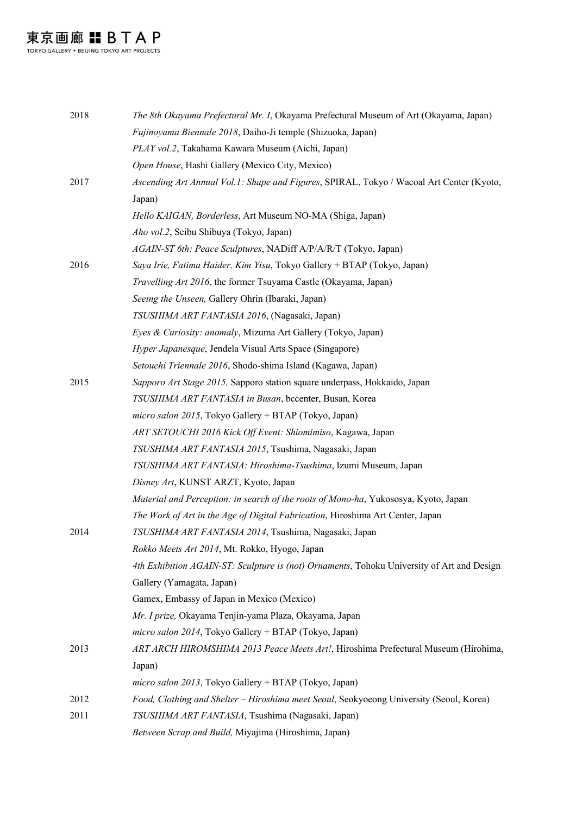東京画廊 〓 B T A P

| 2018 | The 8th Okayama Prefectural Mr. I, Okayama Prefectural Museum of Art (Okayama, Japan)      |
|------|--------------------------------------------------------------------------------------------|
|      | Fujinoyama Biennale 2018, Daiho-Ji temple (Shizuoka, Japan)                                |
|      | PLAY vol.2, Takahama Kawara Museum (Aichi, Japan)                                          |
|      | Open House, Hashi Gallery (Mexico City, Mexico)                                            |
| 2017 | Ascending Art Annual Vol.1: Shape and Figures, SPIRAL, Tokyo / Wacoal Art Center (Kyoto,   |
|      | Japan)                                                                                     |
|      | Hello KAIGAN, Borderless, Art Museum NO-MA (Shiga, Japan)                                  |
|      | Aho vol.2, Seibu Shibuya (Tokyo, Japan)                                                    |
|      | AGAIN-ST 6th: Peace Sculptures, NADiff A/P/A/R/T (Tokyo, Japan)                            |
| 2016 | Saya Irie, Fatima Haider, Kim Yisu, Tokyo Gallery + BTAP (Tokyo, Japan)                    |
|      | Travelling Art 2016, the former Tsuyama Castle (Okayama, Japan)                            |
|      | Seeing the Unseen, Gallery Ohrin (Ibaraki, Japan)                                          |
|      | TSUSHIMA ART FANTASIA 2016, (Nagasaki, Japan)                                              |
|      | Eyes & Curiosity: anomaly, Mizuma Art Gallery (Tokyo, Japan)                               |
|      | Hyper Japanesque, Jendela Visual Arts Space (Singapore)                                    |
|      | Setouchi Triennale 2016, Shodo-shima Island (Kagawa, Japan)                                |
| 2015 | Sapporo Art Stage 2015, Sapporo station square underpass, Hokkaido, Japan                  |
|      | TSUSHIMA ART FANTASIA in Busan, bccenter, Busan, Korea                                     |
|      | micro salon 2015, Tokyo Gallery + BTAP (Tokyo, Japan)                                      |
|      | ART SETOUCHI 2016 Kick Off Event: Shiomimiso, Kagawa, Japan                                |
|      | TSUSHIMA ART FANTASIA 2015, Tsushima, Nagasaki, Japan                                      |
|      | TSUSHIMA ART FANTASIA: Hiroshima-Tsushima, Izumi Museum, Japan                             |
|      | Disney Art, KUNST ARZT, Kyoto, Japan                                                       |
|      | Material and Perception: in search of the roots of Mono-ha, Yukososya, Kyoto, Japan        |
|      | The Work of Art in the Age of Digital Fabrication, Hiroshima Art Center, Japan             |
| 2014 | TSUSHIMA ART FANTASIA 2014, Tsushima, Nagasaki, Japan                                      |
|      | Rokko Meets Art 2014, Mt. Rokko, Hyogo, Japan                                              |
|      | 4th Exhibition AGAIN-ST: Sculpture is (not) Ornaments, Tohoku University of Art and Design |
|      | Gallery (Yamagata, Japan)                                                                  |
|      | Gamex, Embassy of Japan in Mexico (Mexico)                                                 |
|      | Mr. I prize, Okayama Tenjin-yama Plaza, Okayama, Japan                                     |
|      | micro salon 2014, Tokyo Gallery + BTAP (Tokyo, Japan)                                      |
| 2013 | ART ARCH HIROMSHIMA 2013 Peace Meets Art!, Hiroshima Prefectural Museum (Hirohima,         |
|      | Japan)                                                                                     |
|      | micro salon 2013, Tokyo Gallery + BTAP (Tokyo, Japan)                                      |
| 2012 | Food, Clothing and Shelter - Hiroshima meet Seoul, Seokyoeong University (Seoul, Korea)    |
| 2011 | TSUSHIMA ART FANTASIA, Tsushima (Nagasaki, Japan)                                          |
|      | Between Scrap and Build, Miyajima (Hiroshima, Japan)                                       |
|      |                                                                                            |